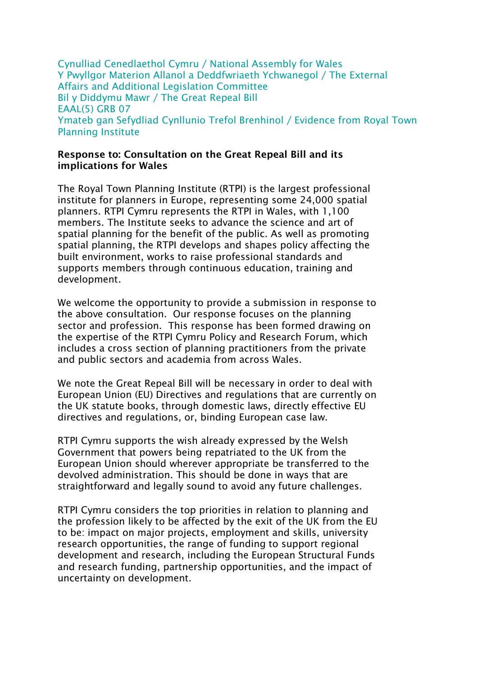Cynulliad Cenedlaethol Cymru / National Assembly for Wales Y Pwyllgor Materion Allanol a Deddfwriaeth Ychwanegol / The External Affairs and Additional Legislation Committee Bil y Diddymu Mawr / The Great Repeal Bill EAAL(5) GRB 07 Ymateb gan Sefydliad Cynllunio Trefol Brenhinol / Evidence from Royal Town Planning Institute

### **Response to: Consultation on the Great Repeal Bill and its implications for Wales**

The Royal Town Planning Institute (RTPI) is the largest professional institute for planners in Europe, representing some 24,000 spatial planners. RTPI Cymru represents the RTPI in Wales, with 1,100 members. The Institute seeks to advance the science and art of spatial planning for the benefit of the public. As well as promoting spatial planning, the RTPI develops and shapes policy affecting the built environment, works to raise professional standards and supports members through continuous education, training and development.

We welcome the opportunity to provide a submission in response to the above consultation. Our response focuses on the planning sector and profession. This response has been formed drawing on the expertise of the RTPI Cymru Policy and Research Forum, which includes a cross section of planning practitioners from the private and public sectors and academia from across Wales.

We note the Great Repeal Bill will be necessary in order to deal with European Union (EU) Directives and regulations that are currently on the UK statute books, through domestic laws, directly effective EU directives and regulations, or, binding European case law.

RTPI Cymru supports the wish already expressed by the Welsh Government that powers being repatriated to the UK from the European Union should wherever appropriate be transferred to the devolved administration. This should be done in ways that are straightforward and legally sound to avoid any future challenges.

RTPI Cymru considers the top priorities in relation to planning and the profession likely to be affected by the exit of the UK from the EU to be: impact on major projects, employment and skills, university research opportunities, the range of funding to support regional development and research, including the European Structural Funds and research funding, partnership opportunities, and the impact of uncertainty on development.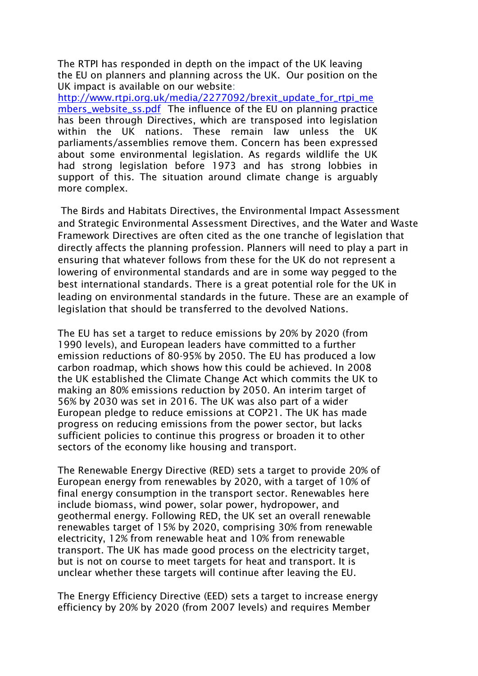The RTPI has responded in depth on the impact of the UK leaving the EU on planners and planning across the UK. Our position on the UK impact is available on our website:

[http://www.rtpi.org.uk/media/2277092/brexit\\_update\\_for\\_rtpi\\_me](http://www.rtpi.org.uk/media/2277092/brexit_update_for_rtpi_members_website_ss.pdf) [mbers\\_website\\_ss.pdf](http://www.rtpi.org.uk/media/2277092/brexit_update_for_rtpi_members_website_ss.pdf) The influence of the EU on planning practice has been through Directives, which are transposed into legislation within the UK nations. These remain law unless the UK parliaments/assemblies remove them. Concern has been expressed about some environmental legislation. As regards wildlife the UK had strong legislation before 1973 and has strong lobbies in support of this. The situation around climate change is arguably more complex.

The Birds and Habitats Directives, the Environmental Impact Assessment and Strategic Environmental Assessment Directives, and the Water and Waste Framework Directives are often cited as the one tranche of legislation that directly affects the planning profession. Planners will need to play a part in ensuring that whatever follows from these for the UK do not represent a lowering of environmental standards and are in some way pegged to the best international standards. There is a great potential role for the UK in leading on environmental standards in the future. These are an example of legislation that should be transferred to the devolved Nations.

The EU has set a target to reduce emissions by 20% by 2020 (from 1990 levels), and European leaders have committed to a further emission reductions of 80-95% by 2050. The EU has produced a low carbon roadmap, which shows how this could be achieved. In 2008 the UK established the Climate Change Act which commits the UK to making an 80% emissions reduction by 2050. An interim target of 56% by 2030 was set in 2016. The UK was also part of a wider European pledge to reduce emissions at COP21. The UK has made progress on reducing emissions from the power sector, but lacks sufficient policies to continue this progress or broaden it to other sectors of the economy like housing and transport.

The Renewable Energy Directive (RED) sets a target to provide 20% of European energy from renewables by 2020, with a target of 10% of final energy consumption in the transport sector. Renewables here include biomass, wind power, solar power, hydropower, and geothermal energy. Following RED, the UK set an overall renewable renewables target of 15% by 2020, comprising 30% from renewable electricity, 12% from renewable heat and 10% from renewable transport. The UK has made good process on the electricity target, but is not on course to meet targets for heat and transport. It is unclear whether these targets will continue after leaving the EU.

The Energy Efficiency Directive (EED) sets a target to increase energy efficiency by 20% by 2020 (from 2007 levels) and requires Member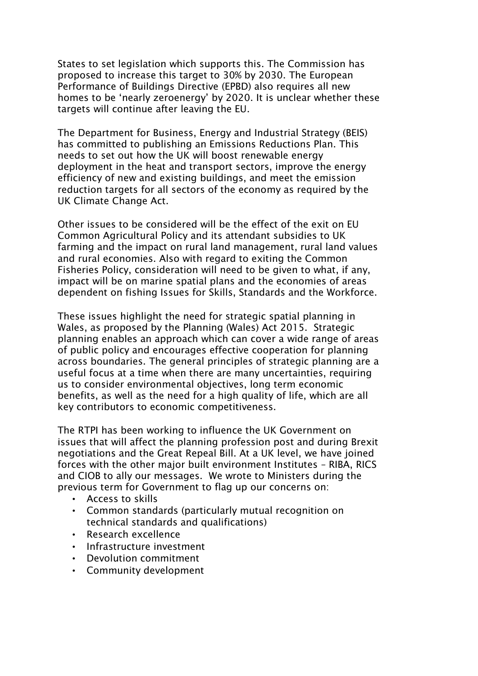States to set legislation which supports this. The Commission has proposed to increase this target to 30% by 2030. The European Performance of Buildings Directive (EPBD) also requires all new homes to be 'nearly zeroenergy' by 2020. It is unclear whether these targets will continue after leaving the EU.

The Department for Business, Energy and Industrial Strategy (BEIS) has committed to publishing an Emissions Reductions Plan. This needs to set out how the UK will boost renewable energy deployment in the heat and transport sectors, improve the energy efficiency of new and existing buildings, and meet the emission reduction targets for all sectors of the economy as required by the UK Climate Change Act.

Other issues to be considered will be the effect of the exit on EU Common Agricultural Policy and its attendant subsidies to UK farming and the impact on rural land management, rural land values and rural economies. Also with regard to exiting the Common Fisheries Policy, consideration will need to be given to what, if any, impact will be on marine spatial plans and the economies of areas dependent on fishing Issues for Skills, Standards and the Workforce.

These issues highlight the need for strategic spatial planning in Wales, as proposed by the Planning (Wales) Act 2015. Strategic planning enables an approach which can cover a wide range of areas of public policy and encourages effective cooperation for planning across boundaries. The general principles of strategic planning are a useful focus at a time when there are many uncertainties, requiring us to consider environmental objectives, long term economic benefits, as well as the need for a high quality of life, which are all key contributors to economic competitiveness.

The RTPI has been working to influence the UK Government on issues that will affect the planning profession post and during Brexit negotiations and the Great Repeal Bill. At a UK level, we have joined forces with the other major built environment Institutes – RIBA, RICS and CIOB to ally our messages. We wrote to Ministers during the previous term for Government to flag up our concerns on:

- Access to skills
- Common standards (particularly mutual recognition on technical standards and qualifications)
- Research excellence
- Infrastructure investment
- Devolution commitment
- Community development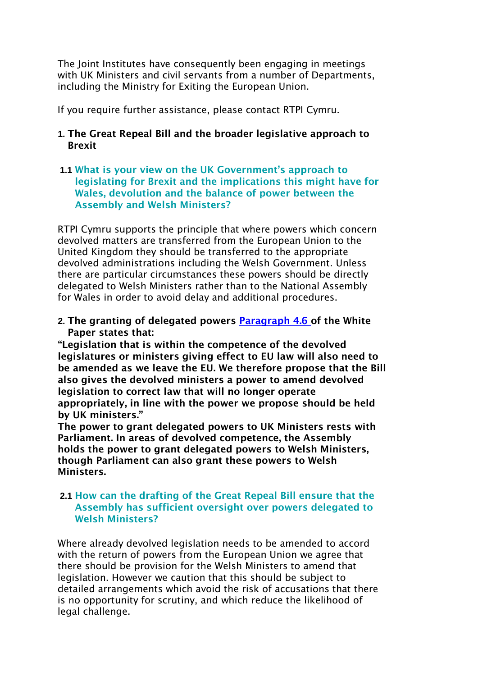The Joint Institutes have consequently been engaging in meetings with UK Ministers and civil servants from a number of Departments, including the Ministry for Exiting the European Union.

If you require further assistance, please contact RTPI Cymru.

# **1. The Great Repeal Bill and the broader legislative approach to Brexit**

**1.1 What is your view on the UK Government's approach to legislating for Brexit and the implications this might have for Wales, devolution and the balance of power between the Assembly and Welsh Ministers?** 

RTPI Cymru supports the principle that where powers which concern devolved matters are transferred from the European Union to the United Kingdom they should be transferred to the appropriate devolved administrations including the Welsh Government. Unless there are particular circumstances these powers should be directly delegated to Welsh Ministers rather than to the National Assembly for Wales in order to avoid delay and additional procedures.

**2. The granting of delegated power[s](https://www.gov.uk/government/publications/the-great-repeal-bill-white-paper/legislating-for-the-united-kingdoms-withdrawal-from-the-european-union#chapter-4-interaction-with-the-devolution-settlements) [Paragraph 4.6 of](https://www.gov.uk/government/publications/the-great-repeal-bill-white-paper/legislating-for-the-united-kingdoms-withdrawal-from-the-european-union#chapter-4-interaction-with-the-devolution-settlements) the White Paper states that:** 

**"Legislation that is within the competence of the devolved legislatures or ministers giving effect to EU law will also need to be amended as we leave the EU. We therefore propose that the Bill also gives the devolved ministers a power to amend devolved legislation to correct law that will no longer operate appropriately, in line with the power we propose should be held by UK ministers."** 

**The power to grant delegated powers to UK Ministers rests with Parliament. In areas of devolved competence, the Assembly holds the power to grant delegated powers to Welsh Ministers, though Parliament can also grant these powers to Welsh Ministers.** 

## **2.1 How can the drafting of the Great Repeal Bill ensure that the Assembly has sufficient oversight over powers delegated to Welsh Ministers?**

Where already devolved legislation needs to be amended to accord with the return of powers from the European Union we agree that there should be provision for the Welsh Ministers to amend that legislation. However we caution that this should be subject to detailed arrangements which avoid the risk of accusations that there is no opportunity for scrutiny, and which reduce the likelihood of legal challenge.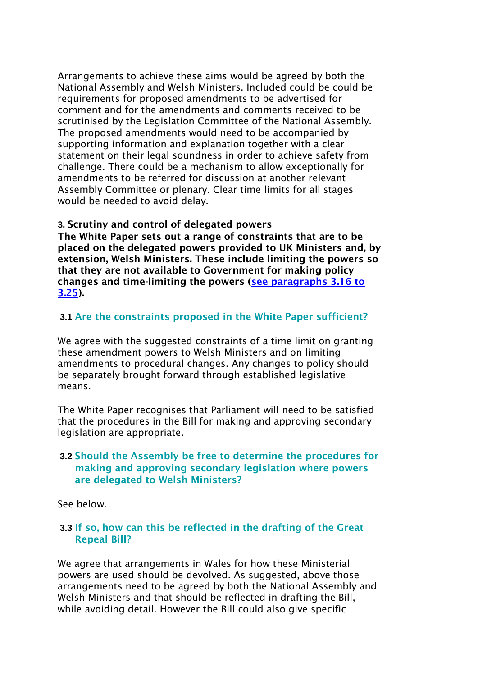Arrangements to achieve these aims would be agreed by both the National Assembly and Welsh Ministers. Included could be could be requirements for proposed amendments to be advertised for comment and for the amendments and comments received to be scrutinised by the Legislation Committee of the National Assembly. The proposed amendments would need to be accompanied by supporting information and explanation together with a clear statement on their legal soundness in order to achieve safety from challenge. There could be a mechanism to allow exceptionally for amendments to be referred for discussion at another relevant Assembly Committee or plenary. Clear time limits for all stages would be needed to avoid delay.

#### **3. Scrutiny and control of delegated powers**

**The White Paper sets out a range of constraints that are to be placed on the delegated powers provided to UK Ministers and, by extension, Welsh Ministers. These include limiting the powers so that they are not available to Government for making policy changes and time-limiting the powers [\(see paragraphs 3.16 to](https://www.gov.uk/government/publications/the-great-repeal-bill-white-paper/legislating-for-the-united-kingdoms-withdrawal-from-the-european-union#chapter-3-delegated-powers-in-the-great-repeal-bill)  [3.25\).](https://www.gov.uk/government/publications/the-great-repeal-bill-white-paper/legislating-for-the-united-kingdoms-withdrawal-from-the-european-union#chapter-3-delegated-powers-in-the-great-repeal-bill)** 

## **3.1 Are the constraints proposed in the White Paper sufficient?**

We agree with the suggested constraints of a time limit on granting these amendment powers to Welsh Ministers and on limiting amendments to procedural changes. Any changes to policy should be separately brought forward through established legislative means.

The White Paper recognises that Parliament will need to be satisfied that the procedures in the Bill for making and approving secondary legislation are appropriate.

### **3.2 Should the Assembly be free to determine the procedures for making and approving secondary legislation where powers are delegated to Welsh Ministers?**

See below.

## **3.3 If so, how can this be reflected in the drafting of the Great Repeal Bill?**

We agree that arrangements in Wales for how these Ministerial powers are used should be devolved. As suggested, above those arrangements need to be agreed by both the National Assembly and Welsh Ministers and that should be reflected in drafting the Bill, while avoiding detail. However the Bill could also give specific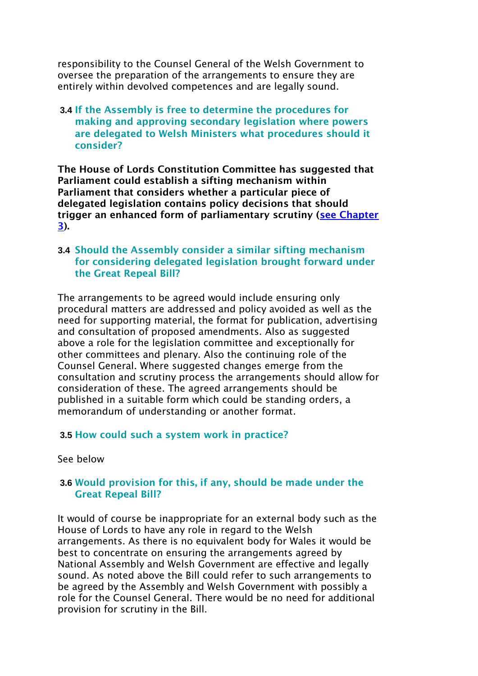responsibility to the Counsel General of the Welsh Government to oversee the preparation of the arrangements to ensure they are entirely within devolved competences and are legally sound.

### **3.4 If the Assembly is free to determine the procedures for making and approving secondary legislation where powers are delegated to Welsh Ministers what procedures should it consider?**

**The House of Lords Constitution Committee has suggested that Parliament could establish a sifting mechanism within Parliament that considers whether a particular piece of delegated legislation contains policy decisions that should trigger an enhanced form of parliamentary scrutiny [\(see Chapter](https://www.publications.parliament.uk/pa/ld201617/ldselect/ldconst/123/12306.htm)  [3\).](https://www.publications.parliament.uk/pa/ld201617/ldselect/ldconst/123/12306.htm)** 

### **3.4 Should the Assembly consider a similar sifting mechanism for considering delegated legislation brought forward under the Great Repeal Bill?**

The arrangements to be agreed would include ensuring only procedural matters are addressed and policy avoided as well as the need for supporting material, the format for publication, advertising and consultation of proposed amendments. Also as suggested above a role for the legislation committee and exceptionally for other committees and plenary. Also the continuing role of the Counsel General. Where suggested changes emerge from the consultation and scrutiny process the arrangements should allow for consideration of these. The agreed arrangements should be published in a suitable form which could be standing orders, a memorandum of understanding or another format.

#### **3.5 How could such a system work in practice?**

See below

## **3.6 Would provision for this, if any, should be made under the Great Repeal Bill?**

It would of course be inappropriate for an external body such as the House of Lords to have any role in regard to the Welsh arrangements. As there is no equivalent body for Wales it would be best to concentrate on ensuring the arrangements agreed by National Assembly and Welsh Government are effective and legally sound. As noted above the Bill could refer to such arrangements to be agreed by the Assembly and Welsh Government with possibly a role for the Counsel General. There would be no need for additional provision for scrutiny in the Bill.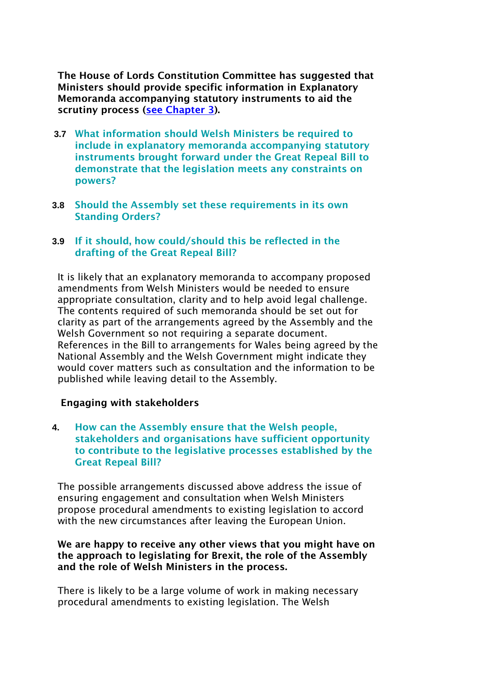**The House of Lords Constitution Committee has suggested that Ministers should provide specific information in Explanatory Memoranda accompanying statutory instruments to aid the scrutiny process [\(see Chapter 3\).](https://www.publications.parliament.uk/pa/ld201617/ldselect/ldconst/123/12306.htm)** 

- **3.7 What information should Welsh Ministers be required to include in explanatory memoranda accompanying statutory instruments brought forward under the Great Repeal Bill to demonstrate that the legislation meets any constraints on powers?**
- **3.8 Should the Assembly set these requirements in its own Standing Orders?**

## **3.9 If it should, how could/should this be reflected in the drafting of the Great Repeal Bill?**

It is likely that an explanatory memoranda to accompany proposed amendments from Welsh Ministers would be needed to ensure appropriate consultation, clarity and to help avoid legal challenge. The contents required of such memoranda should be set out for clarity as part of the arrangements agreed by the Assembly and the Welsh Government so not requiring a separate document. References in the Bill to arrangements for Wales being agreed by the National Assembly and the Welsh Government might indicate they would cover matters such as consultation and the information to be published while leaving detail to the Assembly.

## **Engaging with stakeholders**

**4. How can the Assembly ensure that the Welsh people, stakeholders and organisations have sufficient opportunity to contribute to the legislative processes established by the Great Repeal Bill?** 

The possible arrangements discussed above address the issue of ensuring engagement and consultation when Welsh Ministers propose procedural amendments to existing legislation to accord with the new circumstances after leaving the European Union.

## **We are happy to receive any other views that you might have on the approach to legislating for Brexit, the role of the Assembly and the role of Welsh Ministers in the process.**

There is likely to be a large volume of work in making necessary procedural amendments to existing legislation. The Welsh